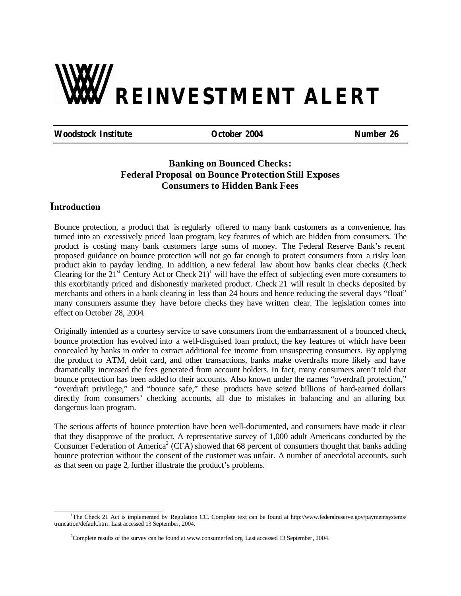# **REINVESTMENT ALERT**

**Woodstock Institute October 2004 Number 26**

#### **Banking on Bounced Checks: Federal Proposal on Bounce Protection Still Exposes Consumers to Hidden Bank Fees**

#### **ntroduction I**

Bounce protection, a product that is regularly offered to many bank customers as a convenience, has turned into an excessively priced loan program, key features of which are hidden from consumers. The product is costing many bank customers large sums of money. The Federal Reserve Bank's recent proposed guidance on bounce protection will not go far enough to protect consumers from a risky loan product akin to payday lending. In addition, a new federal law about how banks clear checks (Check Clearing for the  $21<sup>st</sup>$  Century Act or Check  $21<sup>1</sup>$  will have the effect of subjecting even more consumers to this exorbitantly priced and dishonestly marketed product. Check 21 will result in checks deposited by merchants and others in a bank clearing in less than 24 hours and hence reducing the several days "float" many consumers assume they have before checks they have written clear. The legislation comes into effect on October 28, 2004.

Originally intended as a courtesy service to save consumers from the embarrassment of a bounced check, bounce protection has evolved into a well-disguised loan product, the key features of which have been concealed by banks in order to extract additional fee income from unsuspecting consumers. By applying the product to ATM, debit card, and other transactions, banks make overdrafts more likely and have dramatically increased the fees generated from account holders. In fact, many consumers aren't told that bounce protection has been added to their accounts. Also known under the names "overdraft protection," "overdraft privilege," and "bounce safe," these products have seized billions of hard-earned dollars directly from consumers' checking accounts, all due to mistakes in balancing and an alluring but dangerous loan program.

The serious affects of bounce protection have been well-documented, and consumers have made it clear that they disapprove of the product. A representative survey of 1,000 adult Americans conducted by the Consumer Federation of America<sup>2</sup> (CFA) showed that 68 percent of consumers thought that banks adding bounce protection without the consent of the customer was unfair. A number of anecdotal accounts, such as that seen on page 2, further illustrate the product's problems.

l <sup>1</sup>The Check 21 Act is implemented by Regulation CC. Complete text can be found at http://www.federalreserve.gov/paymentsystems/ truncation/default.htm. Last accessed 13 September, 2004.

<sup>&</sup>lt;sup>2</sup>Complete results of the survey can be found at www.consumerfed.org. Last accessed 13 September, 2004.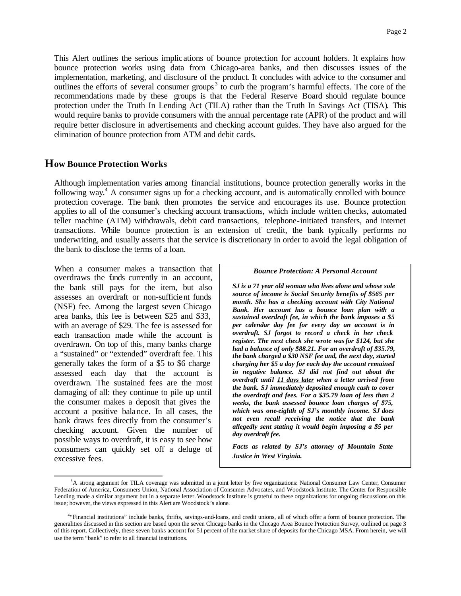This Alert outlines the serious implic ations of bounce protection for account holders. It explains how bounce protection works using data from Chicago-area banks, and then discusses issues of the implementation, marketing, and disclosure of the product. It concludes with advice to the consumer and outlines the efforts of several consumer groups<sup>3</sup> to curb the program's harmful effects. The core of the recommendations made by these groups is that the Federal Reserve Board should regulate bounce protection under the Truth In Lending Act (TILA) rather than the Truth In Savings Act (TISA). This would require banks to provide consumers with the annual percentage rate (APR) of the product and will require better disclosure in advertisements and checking account guides. They have also argued for the elimination of bounce protection from ATM and debit cards.

#### **ow Bounce Protection Works H**

Although implementation varies among financial institutions, bounce protection generally works in the following way.<sup>4</sup> A consumer signs up for a checking account, and is automatically enrolled with bounce protection coverage. The bank then promotes the service and encourages its use. Bounce protection applies to all of the consumer's checking account transactions, which include written checks, automated teller machine (ATM) withdrawals, debit card transactions, telephone-initiated transfers, and internet transactions. While bounce protection is an extension of credit, the bank typically performs no underwriting, and usually asserts that the service is discretionary in order to avoid the legal obligation of the bank to disclose the terms of a loan.

When a consumer makes a transaction that overdraws the funds currently in an account, the bank still pays for the item, but also assesses an overdraft or non-sufficient funds (NSF) fee. Among the largest seven Chicago area banks, this fee is between \$25 and \$33, with an average of \$29. The fee is assessed for each transaction made while the account is overdrawn. On top of this, many banks charge a "sustained" or "extended" overdraft fee. This generally takes the form of a \$5 to \$6 charge assessed each day that the account is overdrawn. The sustained fees are the most damaging of all: they continue to pile up until the consumer makes a deposit that gives the account a positive balance. In all cases, the bank draws fees directly from the consumer's checking account. Given the number of possible ways to overdraft, it is easy to see how consumers can quickly set off a deluge of excessive fees.

l

#### *Bounce Protection: A Personal Account*

*SJ is a 71 year old woman who lives alone and whose sole source of income is Social Security benefits of \$565 per month. She has a checking account with City National Bank. Her account has a bounce loan plan with a sustained overdraft fee, in which the bank imposes a \$5 per calendar day fee for every day an account is in overdraft. SJ forgot to record a check in her check register. The next check she wrote was for \$124, but she had a balance of only \$88.21. For an overdraft of \$35.79, the bank charged a \$30 NSF fee and, the next day, started charging her \$5 a day for each day the account remained in negative balance. SJ did not find out about the overdraft until 11 days later when a letter arrived from the bank. SJ immediately deposited enough cash to cover the overdraft and fees. For a \$35.79 loan of less than 2 weeks, the bank assessed bounce loan charges of \$75, which was one-eighth of SJ's monthly income. SJ does not even recall receiving the notice that the bank allegedly sent stating it would begin imposing a \$5 per day overdraft fee.*

*Facts as related by SJ's attorney of Mountain State Justice in West Virginia.*

<sup>&</sup>lt;sup>3</sup>A strong argument for TILA coverage was submitted in a joint letter by five organizations: National Consumer Law Center, Consumer Federation of America, Consumers Union, National Association of Consumer Advocates, and Woodstock Institute. The Center for Responsible Lending made a similar argument but in a separate letter. Woodstock Institute is grateful to these organizations for ongoing discussions on this issue; however, the views expressed in this Alert are Woodstock's alone.

<sup>4</sup> "Financial institutions" include banks, thrifts, savings-and-loans, and credit unions, all of which offer a form of bounce protection. The generalities discussed in this section are based upon the seven Chicago banks in the Chicago Area Bounce Protection Survey, outlined on page 3 of this report. Collectively, these seven banks account for 51 percent of the market share of deposits for the Chicago MSA. From herein, we will use the term "bank" to refer to all financial institutions.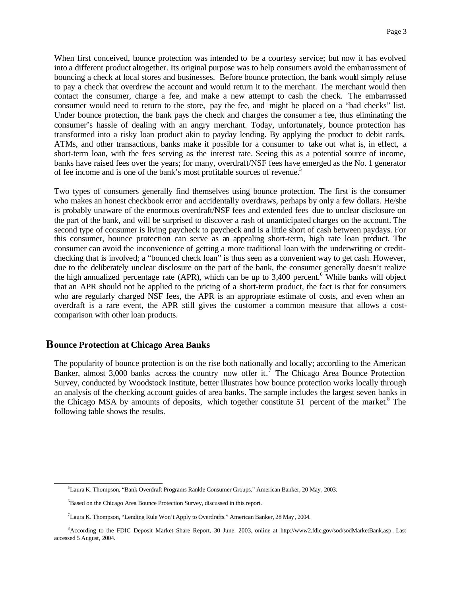When first conceived, bounce protection was intended to be a courtesy service; but now it has evolved into a different product altogether. Its original purpose was to help consumers avoid the embarrassment of bouncing a check at local stores and businesses. Before bounce protection, the bank would simply refuse to pay a check that overdrew the account and would return it to the merchant. The merchant would then contact the consumer, charge a fee, and make a new attempt to cash the check. The embarrassed consumer would need to return to the store, pay the fee, and might be placed on a "bad checks" list. Under bounce protection, the bank pays the check and charges the consumer a fee, thus eliminating the consumer's hassle of dealing with an angry merchant. Today, unfortunately, bounce protection has transformed into a risky loan product akin to payday lending. By applying the product to debit cards, ATMs, and other transactions, banks make it possible for a consumer to take out what is, in effect, a short-term loan, with the fees serving as the interest rate. Seeing this as a potential source of income, banks have raised fees over the years; for many, overdraft/NSF fees have emerged as the No. 1 generator of fee income and is one of the bank's most profitable sources of revenue. 5

Two types of consumers generally find themselves using bounce protection. The first is the consumer who makes an honest checkbook error and accidentally overdraws, perhaps by only a few dollars. He/she is probably unaware of the enormous overdraft/NSF fees and extended fees due to unclear disclosure on the part of the bank, and will be surprised to discover a rash of unanticipated charges on the account. The second type of consumer is living paycheck to paycheck and is a little short of cash between paydays. For this consumer, bounce protection can serve as an appealing short-term, high rate loan product. The consumer can avoid the inconvenience of getting a more traditional loan with the underwriting or creditchecking that is involved; a "bounced check loan" is thus seen as a convenient way to get cash. However, due to the deliberately unclear disclosure on the part of the bank, the consumer generally doesn't realize the high annualized percentage rate (APR), which can be up to 3,400 percent. 6 While banks will object that an APR should not be applied to the pricing of a short-term product, the fact is that for consumers who are regularly charged NSF fees, the APR is an appropriate estimate of costs, and even when an overdraft is a rare event, the APR still gives the customer a common measure that allows a costcomparison with other loan products.

#### $\bf B$ ounce Protection at Chicago Area Banks

l

The popularity of bounce protection is on the rise both nationally and locally; according to the American Banker, almost 3,000 banks across the country now offer it.<sup>7</sup> The Chicago Area Bounce Protection Survey, conducted by Woodstock Institute, better illustrates how bounce protection works locally through an analysis of the checking account guides of area banks. The sample includes the largest seven banks in the Chicago MSA by amounts of deposits, which together constitute 51 percent of the market.<sup>8</sup> The following table shows the results.

<sup>5</sup>Laura K. Thompson, "Bank Overdraft Programs Rankle Consumer Groups." American Banker, 20 May, 2003.

<sup>&</sup>lt;sup>6</sup>Based on the Chicago Area Bounce Protection Survey, discussed in this report.

<sup>&</sup>lt;sup>7</sup>Laura K. Thompson, "Lending Rule Won't Apply to Overdrafts." American Banker, 28 May, 2004.

<sup>8</sup>According to the FDIC Deposit Market Share Report, 30 June, 2003, online at http://www2.fdic.gov/sod/sodMarketBank.asp. Last accessed 5 August, 2004.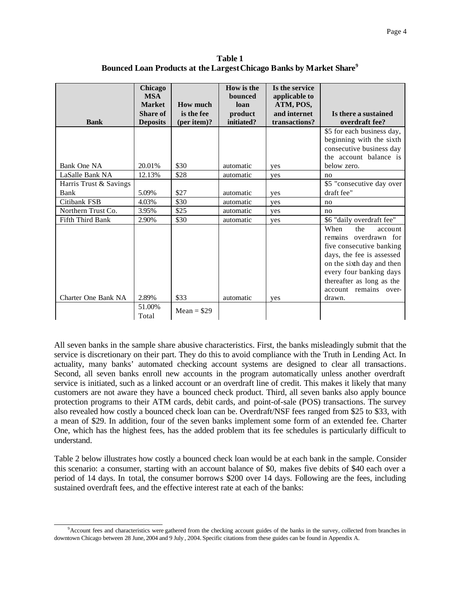**Table 1 Bounced Loan Products at the Largest Chicago Banks by Market Share<sup>9</sup>**

| <b>Bank</b>             | Chicago<br><b>MSA</b><br><b>Market</b><br><b>Share of</b><br><b>Deposits</b> | <b>How much</b><br>is the fee<br>(per item)? | How is the<br><b>bounced</b><br>loan<br>product<br>initiated? | Is the service<br>applicable to<br>ATM, POS,<br>and internet<br>transactions? | Is there a sustained<br>overdraft fee?                                                                                                                                                                                 |
|-------------------------|------------------------------------------------------------------------------|----------------------------------------------|---------------------------------------------------------------|-------------------------------------------------------------------------------|------------------------------------------------------------------------------------------------------------------------------------------------------------------------------------------------------------------------|
|                         |                                                                              |                                              |                                                               |                                                                               | \$5 for each business day,<br>beginning with the sixth<br>consecutive business day<br>the account balance is                                                                                                           |
| Bank One NA             | 20.01%                                                                       | \$30                                         | automatic                                                     | yes                                                                           | below zero.                                                                                                                                                                                                            |
| LaSalle Bank NA         | 12.13%                                                                       | \$28                                         | automatic                                                     | yes                                                                           | no                                                                                                                                                                                                                     |
| Harris Trust & Savings  |                                                                              |                                              |                                                               |                                                                               | \$5 "consecutive day over                                                                                                                                                                                              |
| Bank                    | 5.09%                                                                        | \$27                                         | automatic                                                     | yes                                                                           | draft fee"                                                                                                                                                                                                             |
| Citibank FSB            | 4.03%                                                                        | \$30                                         | automatic                                                     | yes                                                                           | no                                                                                                                                                                                                                     |
| Northern Trust Co.      | 3.95%                                                                        | \$25                                         | automatic                                                     | yes                                                                           | no                                                                                                                                                                                                                     |
| <b>Fifth Third Bank</b> | 2.90%                                                                        | \$30                                         | automatic                                                     | yes                                                                           | \$6 "daily overdraft fee"                                                                                                                                                                                              |
| Charter One Bank NA     | 2.89%                                                                        | \$33                                         |                                                               |                                                                               | When<br>the<br>account<br>remains overdrawn for<br>five consecutive banking<br>days, the fee is assessed<br>on the sixth day and then<br>every four banking days<br>thereafter as long as the<br>account remains over- |
|                         |                                                                              |                                              | automatic                                                     | yes                                                                           | drawn.                                                                                                                                                                                                                 |
|                         | 51.00%<br>Total                                                              | Mean = $$29$                                 |                                                               |                                                                               |                                                                                                                                                                                                                        |

All seven banks in the sample share abusive characteristics. First, the banks misleadingly submit that the service is discretionary on their part. They do this to avoid compliance with the Truth in Lending Act. In actuality, many banks' automated checking account systems are designed to clear all transactions. Second, all seven banks enroll new accounts in the program automatically unless another overdraft service is initiated, such as a linked account or an overdraft line of credit. This makes it likely that many customers are not aware they have a bounced check product. Third, all seven banks also apply bounce protection programs to their ATM cards, debit cards, and point-of-sale (POS) transactions. The survey also revealed how costly a bounced check loan can be. Overdraft/NSF fees ranged from \$25 to \$33, with a mean of \$29. In addition, four of the seven banks implement some form of an extended fee. Charter One, which has the highest fees, has the added problem that its fee schedules is particularly difficult to understand.

Table 2 below illustrates how costly a bounced check loan would be at each bank in the sample. Consider this scenario: a consumer, starting with an account balance of \$0, makes five debits of \$40 each over a period of 14 days. In total, the consumer borrows \$200 over 14 days. Following are the fees, including sustained overdraft fees, and the effective interest rate at each of the banks:

l <sup>9</sup>Account fees and characteristics were gathered from the checking account guides of the banks in the survey, collected from branches in downtown Chicago between 28 June, 2004 and 9 July , 2004. Specific citations from these guides can be found in Appendix A.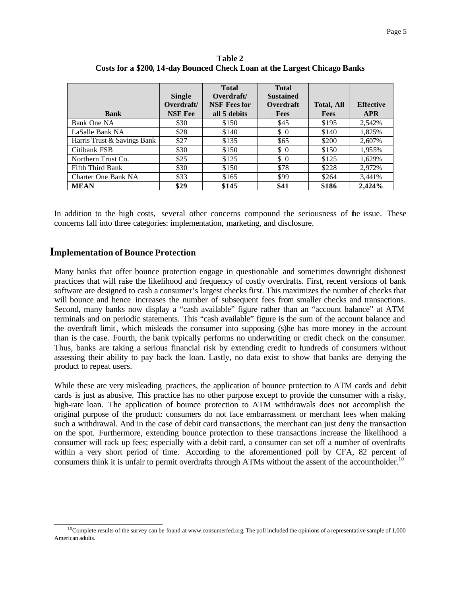|                             |                | <b>Total</b>        | <b>Total</b>     |                   |                  |
|-----------------------------|----------------|---------------------|------------------|-------------------|------------------|
|                             | <b>Single</b>  | Overdraft/          | <b>Sustained</b> |                   |                  |
|                             | Overdraft/     | <b>NSF</b> Fees for | Overdraft        | <b>Total, All</b> | <b>Effective</b> |
| <b>Bank</b>                 | <b>NSF</b> Fee | all 5 debits        | <b>Fees</b>      | <b>Fees</b>       | <b>APR</b>       |
| Bank One NA                 | \$30           | \$150               | \$45             | \$195             | 2,542%           |
| LaSalle Bank NA             | \$28           | \$140               | $\frac{1}{2}$    | \$140             | 1,825%           |
| Harris Trust & Savings Bank | \$27           | \$135               | \$65             | \$200             | 2,607%           |
| Citibank FSB                | \$30           | \$150               | $\frac{1}{2}$    | \$150             | 1,955%           |
| Northern Trust Co.          | \$25           | \$125               | $\frac{1}{2}$    | \$125             | 1,629%           |
| Fifth Third Bank            | \$30           | \$150               | \$78             | \$228             | 2,972%           |
| Charter One Bank NA         | \$33           | \$165               | \$99             | \$264             | 3,441%           |
| <b>MEAN</b>                 | \$29           | \$145               | \$41             | \$186             | 2.424%           |

**Table 2 Costs for a \$200, 14-day Bounced Check Loan at the Largest Chicago Banks**

In addition to the high costs, several other concerns compound the seriousness of the issue. These concerns fall into three categories: implementation, marketing, and disclosure.

#### **mplementation of Bounce Protection I**

Many banks that offer bounce protection engage in questionable and sometimes downright dishonest practices that will raise the likelihood and frequency of costly overdrafts. First, recent versions of bank software are designed to cash a consumer's largest checks first. This maximizes the number of checks that will bounce and hence increases the number of subsequent fees from smaller checks and transactions. Second, many banks now display a "cash available" figure rather than an "account balance" at ATM terminals and on periodic statements. This "cash available" figure is the sum of the account balance and the overdraft limit, which misleads the consumer into supposing (s)he has more money in the account than is the case. Fourth, the bank typically performs no underwriting or credit check on the consumer. Thus, banks are taking a serious financial risk by extending credit to hundreds of consumers without assessing their ability to pay back the loan. Lastly, no data exist to show that banks are denying the product to repeat users.

While these are very misleading practices, the application of bounce protection to ATM cards and debit cards is just as abusive. This practice has no other purpose except to provide the consumer with a risky, high-rate loan. The application of bounce protection to ATM withdrawals does not accomplish the original purpose of the product: consumers do not face embarrassment or merchant fees when making such a withdrawal. And in the case of debit card transactions, the merchant can just deny the transaction on the spot. Furthermore, extending bounce protection to these transactions increase the likelihood a consumer will rack up fees; especially with a debit card, a consumer can set off a number of overdrafts within a very short period of time. According to the aforementioned poll by CFA, 82 percent of consumers think it is unfair to permit overdrafts through ATMs without the assent of the accountholder.<sup>10</sup>

l  $10$ Complete results of the survey can be found at www.consumerfed.org. The poll included the opinions of a representative sample of 1,000 American adults.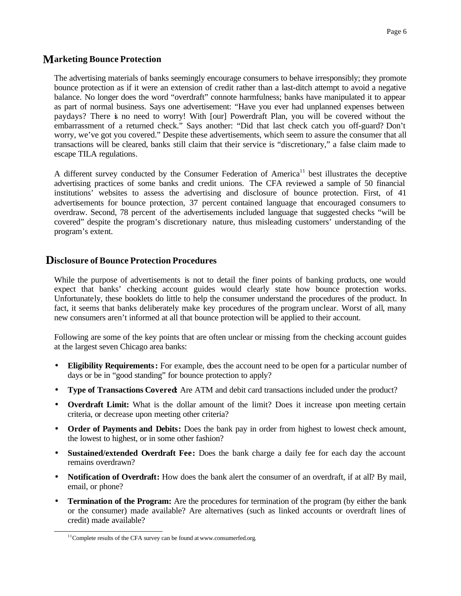### **arketing Bounce Protection M**

The advertising materials of banks seemingly encourage consumers to behave irresponsibly; they promote bounce protection as if it were an extension of credit rather than a last-ditch attempt to avoid a negative balance. No longer does the word "overdraft" connote harmfulness; banks have manipulated it to appear as part of normal business. Says one advertisement: "Have you ever had unplanned expenses between paydays? There is no need to worry! With [our] Powerdraft Plan, you will be covered without the embarrassment of a returned check." Says another: "Did that last check catch you off-guard? Don't worry, we've got you covered." Despite these advertisements, which seem to assure the consumer that all transactions will be cleared, banks still claim that their service is "discretionary," a false claim made to escape TILA regulations.

A different survey conducted by the Consumer Federation of America<sup>11</sup> best illustrates the deceptive advertising practices of some banks and credit unions. The CFA reviewed a sample of 50 financial institutions' websites to assess the advertising and disclosure of bounce protection. First, of 41 advertisements for bounce protection, 37 percent contained language that encouraged consumers to overdraw. Second, 78 percent of the advertisements included language that suggested checks "will be covered" despite the program's discretionary nature, thus misleading customers' understanding of the program's extent.

#### **isclosure of Bounce Protection Procedures D**

While the purpose of advertisements is not to detail the finer points of banking products, one would expect that banks' checking account guides would clearly state how bounce protection works. Unfortunately, these booklets do little to help the consumer understand the procedures of the product. In fact, it seems that banks deliberately make key procedures of the program unclear. Worst of all, many new consumers aren't informed at all that bounce protection will be applied to their account.

Following are some of the key points that are often unclear or missing from the checking account guides at the largest seven Chicago area banks:

- **Eligibility Requirements:** For example, does the account need to be open for a particular number of days or be in "good standing" for bounce protection to apply?
- **Type of Transactions Covered:** Are ATM and debit card transactions included under the product?
- **Overdraft Limit:** What is the dollar amount of the limit? Does it increase upon meeting certain criteria, or decrease upon meeting other criteria?
- **Order of Payments and Debits:** Does the bank pay in order from highest to lowest check amount, the lowest to highest, or in some other fashion?
- **Sustained/extended Overdraft Fee:** Does the bank charge a daily fee for each day the account remains overdrawn?
- **Notification of Overdraft:** How does the bank alert the consumer of an overdraft, if at all? By mail, email, or phone?
- **Termination of the Program:** Are the procedures for termination of the program (by either the bank or the consumer) made available? Are alternatives (such as linked accounts or overdraft lines of credit) made available?

l

 $11$ Complete results of the CFA survey can be found at www.consumerfed.org.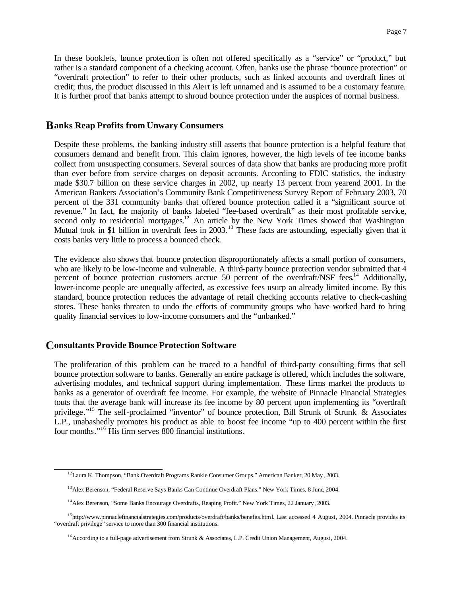In these booklets, bounce protection is often not offered specifically as a "service" or "product," but rather is a standard component of a checking account. Often, banks use the phrase "bounce protection" or "overdraft protection" to refer to their other products, such as linked accounts and overdraft lines of credit; thus, the product discussed in this Alert is left unnamed and is assumed to be a customary feature. It is further proof that banks attempt to shroud bounce protection under the auspices of normal business.

#### **anks Reap Profits from Unwary Consumers B**

Despite these problems, the banking industry still asserts that bounce protection is a helpful feature that consumers demand and benefit from. This claim ignores, however, the high levels of fee income banks collect from unsuspecting consumers. Several sources of data show that banks are producing more profit than ever before from service charges on deposit accounts. According to FDIC statistics, the industry made \$30.7 billion on these servic e charges in 2002, up nearly 13 percent from yearend 2001. In the American Bankers Association's Community Bank Competitiveness Survey Report of February 2003, 70 percent of the 331 community banks that offered bounce protection called it a "significant source of revenue." In fact, the majority of banks labeled "fee-based overdraft" as their most profitable service, second only to residential mortgages.<sup>12</sup> An article by the New York Times showed that Washington Mutual took in \$1 billion in overdraft fees in 2003.<sup>13</sup> These facts are astounding, especially given that it costs banks very little to process a bounced check.

The evidence also shows that bounce protection disproportionately affects a small portion of consumers, who are likely to be low-income and vulnerable. A third-party bounce protection vendor submitted that 4 percent of bounce protection customers accrue 50 percent of the overdraft/NSF fees.<sup>14</sup> Additionally, lower-income people are unequally affected, as excessive fees usurp an already limited income. By this standard, bounce protection reduces the advantage of retail checking accounts relative to check-cashing stores. These banks threaten to undo the efforts of community groups who have worked hard to bring quality financial services to low-income consumers and the "unbanked."

#### **onsultants Provide Bounce Protection Software C**

l

The proliferation of this problem can be traced to a handful of third-party consulting firms that sell bounce protection software to banks. Generally an entire package is offered, which includes the software, advertising modules, and technical support during implementation. These firms market the products to banks as a generator of overdraft fee income. For example, the website of Pinnacle Financial Strategies touts that the average bank will increase its fee income by 80 percent upon implementing its "overdraft privilege."<sup>15</sup> The self-proclaimed "inventor" of bounce protection, Bill Strunk of Strunk & Associates L.P., unabashedly promotes his product as able to boost fee income "up to 400 percent within the first four months."<sup>16</sup> His firm serves 800 financial institutions.

<sup>&</sup>lt;sup>12</sup>Laura K. Thompson, "Bank Overdraft Programs Rankle Consumer Groups." American Banker, 20 May, 2003.

<sup>&</sup>lt;sup>13</sup> Alex Berenson, "Federal Reserve Says Banks Can Continue Overdraft Plans." New York Times, 8 June, 2004.

<sup>&</sup>lt;sup>14</sup> Alex Berenson, "Some Banks Encourage Overdrafts, Reaping Profit." New York Times, 22 January, 2003.

<sup>&</sup>lt;sup>15</sup>http://www.pinnaclefinancialstrategies.com/products/overdraft/banks/benefits.html. Last accessed 4 August, 2004. Pinnacle provides its "overdraft privilege" service to more than 300 financial institutions.

<sup>&</sup>lt;sup>16</sup> According to a full-page advertisement from Strunk & Associates, L.P. Credit Union Management, August, 2004.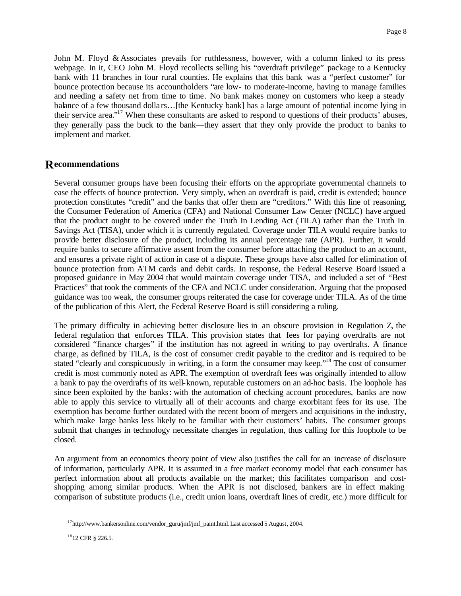John M. Floyd & Associates prevails for ruthlessness, however, with a column linked to its press webpage. In it, CEO John M. Floyd recollects selling his "overdraft privilege" package to a Kentucky bank with 11 branches in four rural counties. He explains that this bank was a "perfect customer" for bounce protection because its accountholders "are low- to moderate-income, having to manage families and needing a safety net from time to time. No bank makes money on customers who keep a steady balance of a few thousand dolla rs…[the Kentucky bank] has a large amount of potential income lying in their service area."<sup>17</sup> When these consultants are asked to respond to questions of their products' abuses, they generally pass the buck to the bank—they assert that they only provide the product to banks to implement and market.

## **ecommendations R**

Several consumer groups have been focusing their efforts on the appropriate governmental channels to ease the effects of bounce protection. Very simply, when an overdraft is paid, credit is extended; bounce protection constitutes "credit" and the banks that offer them are "creditors." With this line of reasoning, the Consumer Federation of America (CFA) and National Consumer Law Center (NCLC) have argued that the product ought to be covered under the Truth In Lending Act (TILA) rather than the Truth In Savings Act (TISA), under which it is currently regulated. Coverage under TILA would require banks to provide better disclosure of the product, including its annual percentage rate (APR). Further, it would require banks to secure affirmative assent from the consumer before attaching the product to an account, and ensures a private right of action in case of a dispute. These groups have also called for elimination of bounce protection from ATM cards and debit cards. In response, the Federal Reserve Board issued a proposed guidance in May 2004 that would maintain coverage under TISA, and included a set of "Best Practices" that took the comments of the CFA and NCLC under consideration. Arguing that the proposed guidance was too weak, the consumer groups reiterated the case for coverage under TILA. As of the time of the publication of this Alert, the Federal Reserve Board is still considering a ruling.

The primary difficulty in achieving better disclosure lies in an obscure provision in Regulation Z, the federal regulation that enforces TILA. This provision states that fees for paying overdrafts are not considered "finance charges" if the institution has not agreed in writing to pay overdrafts. A finance charge, as defined by TILA, is the cost of consumer credit payable to the creditor and is required to be stated "clearly and conspicuously in writing, in a form the consumer may keep."<sup>18</sup> The cost of consumer credit is most commonly noted as APR. The exemption of overdraft fees was originally intended to allow a bank to pay the overdrafts of its well-known, reputable customers on an ad-hoc basis. The loophole has since been exploited by the banks: with the automation of checking account procedures, banks are now able to apply this service to virtually all of their accounts and charge exorbitant fees for its use. The exemption has become further outdated with the recent boom of mergers and acquisitions in the industry, which make large banks less likely to be familiar with their customers' habits. The consumer groups submit that changes in technology necessitate changes in regulation, thus calling for this loophole to be closed.

An argument from an economics theory point of view also justifies the call for an increase of disclosure of information, particularly APR. It is assumed in a free market economy model that each consumer has perfect information about all products available on the market; this facilitates comparison and costshopping among similar products. When the APR is not disclosed, bankers are in effect making comparison of substitute products (i.e., credit union loans, overdraft lines of credit, etc.) more difficult for

l

 $^{17}$ http://www.bankersonline.com/vendor\_guru/jmf/jmf\_paint.html. Last accessed 5 August, 2004.

<sup>18</sup>12 CFR § 226.5.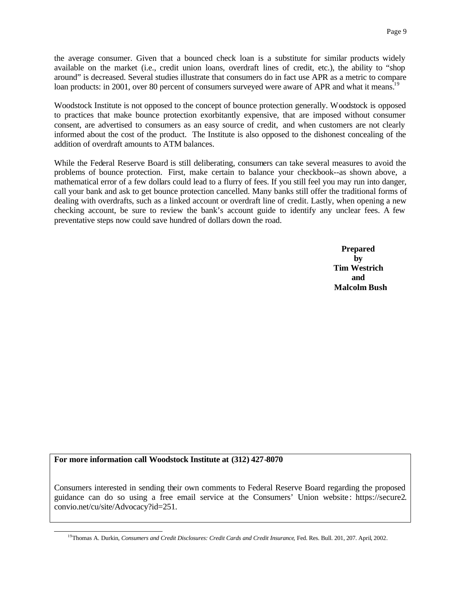the average consumer. Given that a bounced check loan is a substitute for similar products widely available on the market (i.e., credit union loans, overdraft lines of credit, etc.), the ability to "shop around" is decreased. Several studies illustrate that consumers do in fact use APR as a metric to compare loan products: in 2001, over 80 percent of consumers surveyed were aware of APR and what it means.<sup>19</sup>

Woodstock Institute is not opposed to the concept of bounce protection generally. Woodstock is opposed to practices that make bounce protection exorbitantly expensive, that are imposed without consumer consent, are advertised to consumers as an easy source of credit, and when customers are not clearly informed about the cost of the product. The Institute is also opposed to the dishonest concealing of the addition of overdraft amounts to ATM balances.

While the Federal Reserve Board is still deliberating, consumers can take several measures to avoid the problems of bounce protection. First, make certain to balance your checkbook--as shown above, a mathematical error of a few dollars could lead to a flurry of fees. If you still feel you may run into danger, call your bank and ask to get bounce protection cancelled. Many banks still offer the traditional forms of dealing with overdrafts, such as a linked account or overdraft line of credit. Lastly, when opening a new checking account, be sure to review the bank's account guide to identify any unclear fees. A few preventative steps now could save hundred of dollars down the road.

> **Prepared by Tim Westrich and Malcolm Bush**

#### **For more information call Woodstock Institute at (312) 427-8070**

l

Consumers interested in sending their own comments to Federal Reserve Board regarding the proposed guidance can do so using a free email service at the Consumers' Union website : https://secure2. convio.net/cu/site/Advocacy?id=251.

<sup>&</sup>lt;sup>19</sup>Thomas A. Durkin, *Consumers and Credit Disclosures: Credit Cards and Credit Insurance*, Fed. Res. Bull. 201, 207. April, 2002.